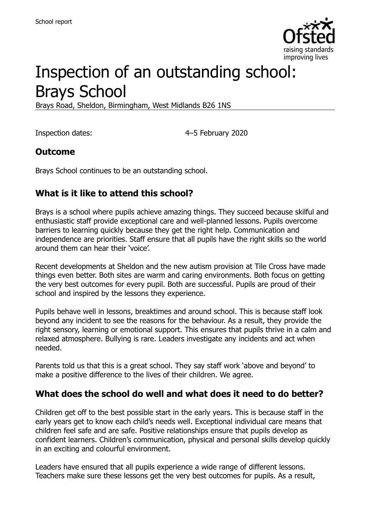

# Inspection of an outstanding school: Brays School

Brays Road, Sheldon, Birmingham, West Midlands B26 1NS

Inspection dates: 4–5 February 2020

#### **Outcome**

Brays School continues to be an outstanding school.

#### **What is it like to attend this school?**

Brays is a school where pupils achieve amazing things. They succeed because skilful and enthusiastic staff provide exceptional care and well-planned lessons. Pupils overcome barriers to learning quickly because they get the right help. Communication and independence are priorities. Staff ensure that all pupils have the right skills so the world around them can hear their 'voice'.

Recent developments at Sheldon and the new autism provision at Tile Cross have made things even better. Both sites are warm and caring environments. Both focus on getting the very best outcomes for every pupil. Both are successful. Pupils are proud of their school and inspired by the lessons they experience.

Pupils behave well in lessons, breaktimes and around school. This is because staff look beyond any incident to see the reasons for the behaviour. As a result, they provide the right sensory, learning or emotional support. This ensures that pupils thrive in a calm and relaxed atmosphere. Bullying is rare. Leaders investigate any incidents and act when needed.

Parents told us that this is a great school. They say staff work 'above and beyond' to make a positive difference to the lives of their children. We agree.

#### **What does the school do well and what does it need to do better?**

Children get off to the best possible start in the early years. This is because staff in the early years get to know each child's needs well. Exceptional individual care means that children feel safe and are safe. Positive relationships ensure that pupils develop as confident learners. Children's communication, physical and personal skills develop quickly in an exciting and colourful environment.

Leaders have ensured that all pupils experience a wide range of different lessons. Teachers make sure these lessons get the very best outcomes for pupils. As a result,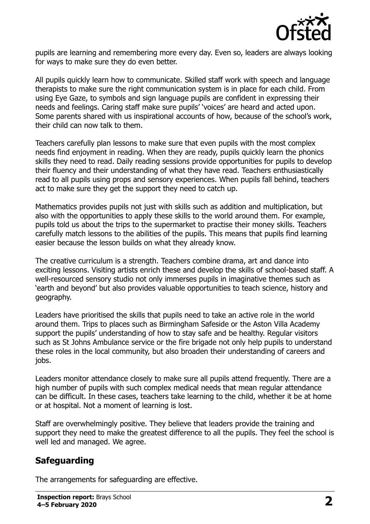

pupils are learning and remembering more every day. Even so, leaders are always looking for ways to make sure they do even better.

All pupils quickly learn how to communicate. Skilled staff work with speech and language therapists to make sure the right communication system is in place for each child. From using Eye Gaze, to symbols and sign language pupils are confident in expressing their needs and feelings. Caring staff make sure pupils' 'voices' are heard and acted upon. Some parents shared with us inspirational accounts of how, because of the school's work, their child can now talk to them.

Teachers carefully plan lessons to make sure that even pupils with the most complex needs find enjoyment in reading. When they are ready, pupils quickly learn the phonics skills they need to read. Daily reading sessions provide opportunities for pupils to develop their fluency and their understanding of what they have read. Teachers enthusiastically read to all pupils using props and sensory experiences. When pupils fall behind, teachers act to make sure they get the support they need to catch up.

Mathematics provides pupils not just with skills such as addition and multiplication, but also with the opportunities to apply these skills to the world around them. For example, pupils told us about the trips to the supermarket to practise their money skills. Teachers carefully match lessons to the abilities of the pupils. This means that pupils find learning easier because the lesson builds on what they already know.

The creative curriculum is a strength. Teachers combine drama, art and dance into exciting lessons. Visiting artists enrich these and develop the skills of school-based staff. A well-resourced sensory studio not only immerses pupils in imaginative themes such as 'earth and beyond' but also provides valuable opportunities to teach science, history and geography.

Leaders have prioritised the skills that pupils need to take an active role in the world around them. Trips to places such as Birmingham Safeside or the Aston Villa Academy support the pupils' understanding of how to stay safe and be healthy. Regular visitors such as St Johns Ambulance service or the fire brigade not only help pupils to understand these roles in the local community, but also broaden their understanding of careers and jobs.

Leaders monitor attendance closely to make sure all pupils attend frequently. There are a high number of pupils with such complex medical needs that mean regular attendance can be difficult. In these cases, teachers take learning to the child, whether it be at home or at hospital. Not a moment of learning is lost.

Staff are overwhelmingly positive. They believe that leaders provide the training and support they need to make the greatest difference to all the pupils. They feel the school is well led and managed. We agree.

# **Safeguarding**

The arrangements for safeguarding are effective.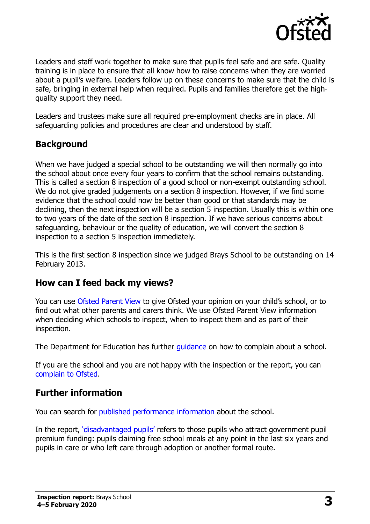

Leaders and staff work together to make sure that pupils feel safe and are safe. Quality training is in place to ensure that all know how to raise concerns when they are worried about a pupil's welfare. Leaders follow up on these concerns to make sure that the child is safe, bringing in external help when required. Pupils and families therefore get the highquality support they need.

Leaders and trustees make sure all required pre-employment checks are in place. All safeguarding policies and procedures are clear and understood by staff.

### **Background**

When we have judged a special school to be outstanding we will then normally go into the school about once every four years to confirm that the school remains outstanding. This is called a section 8 inspection of a good school or non-exempt outstanding school. We do not give graded judgements on a section 8 inspection. However, if we find some evidence that the school could now be better than good or that standards may be declining, then the next inspection will be a section 5 inspection. Usually this is within one to two years of the date of the section 8 inspection. If we have serious concerns about safeguarding, behaviour or the quality of education, we will convert the section 8 inspection to a section 5 inspection immediately.

This is the first section 8 inspection since we judged Brays School to be outstanding on 14 February 2013.

#### **How can I feed back my views?**

You can use [Ofsted Parent View](https://parentview.ofsted.gov.uk/) to give Ofsted your opinion on your child's school, or to find out what other parents and carers think. We use Ofsted Parent View information when deciding which schools to inspect, when to inspect them and as part of their inspection.

The Department for Education has further quidance on how to complain about a school.

If you are the school and you are not happy with the inspection or the report, you can [complain to Ofsted.](https://www.gov.uk/complain-ofsted-report)

#### **Further information**

You can search for [published performance information](http://www.compare-school-performance.service.gov.uk/) about the school.

In the report, '[disadvantaged pupils](http://www.gov.uk/guidance/pupil-premium-information-for-schools-and-alternative-provision-settings)' refers to those pupils who attract government pupil premium funding: pupils claiming free school meals at any point in the last six years and pupils in care or who left care through adoption or another formal route.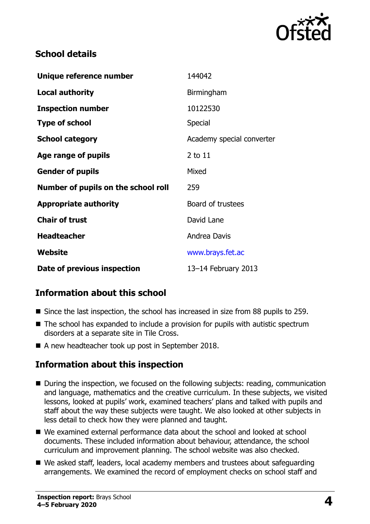

## **School details**

| Unique reference number             | 144042                    |
|-------------------------------------|---------------------------|
| <b>Local authority</b>              | Birmingham                |
| <b>Inspection number</b>            | 10122530                  |
| <b>Type of school</b>               | Special                   |
| <b>School category</b>              | Academy special converter |
| Age range of pupils                 | 2 to 11                   |
| <b>Gender of pupils</b>             | Mixed                     |
| Number of pupils on the school roll | 259                       |
| <b>Appropriate authority</b>        | Board of trustees         |
| <b>Chair of trust</b>               | David Lane                |
| <b>Headteacher</b>                  | Andrea Davis              |
| Website                             | www.brays.fet.ac          |
| Date of previous inspection         | 13-14 February 2013       |

# **Information about this school**

- Since the last inspection, the school has increased in size from 88 pupils to 259.
- The school has expanded to include a provision for pupils with autistic spectrum disorders at a separate site in Tile Cross.
- A new headteacher took up post in September 2018.

# **Information about this inspection**

- During the inspection, we focused on the following subjects: reading, communication and language, mathematics and the creative curriculum. In these subjects, we visited lessons, looked at pupils' work, examined teachers' plans and talked with pupils and staff about the way these subjects were taught. We also looked at other subjects in less detail to check how they were planned and taught.
- We examined external performance data about the school and looked at school documents. These included information about behaviour, attendance, the school curriculum and improvement planning. The school website was also checked.
- We asked staff, leaders, local academy members and trustees about safeguarding arrangements. We examined the record of employment checks on school staff and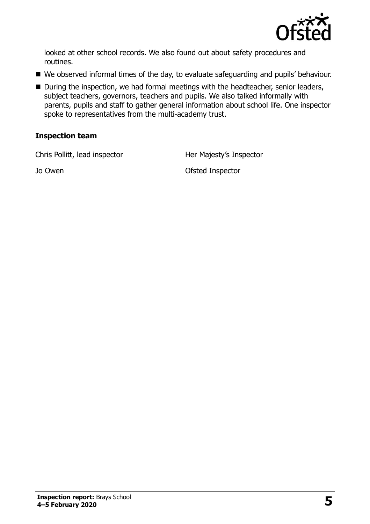

looked at other school records. We also found out about safety procedures and routines.

- We observed informal times of the day, to evaluate safeguarding and pupils' behaviour.
- During the inspection, we had formal meetings with the headteacher, senior leaders, subject teachers, governors, teachers and pupils. We also talked informally with parents, pupils and staff to gather general information about school life. One inspector spoke to representatives from the multi-academy trust.

#### **Inspection team**

Chris Pollitt, lead inspector **Her Majesty's Inspector** 

Jo Owen Ofsted Inspector